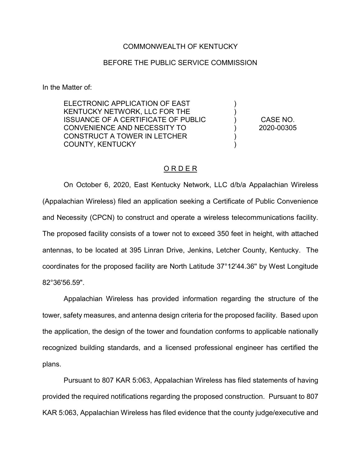## COMMONWEALTH OF KENTUCKY

## BEFORE THE PUBLIC SERVICE COMMISSION

In the Matter of:

ELECTRONIC APPLICATION OF EAST KENTUCKY NETWORK, LLC FOR THE ISSUANCE OF A CERTIFICATE OF PUBLIC CONVENIENCE AND NECESSITY TO CONSTRUCT A TOWER IN LETCHER COUNTY, KENTUCKY

CASE NO. 2020-00305

) ) ) ) ) )

## O R D E R

On October 6, 2020, East Kentucky Network, LLC d/b/a Appalachian Wireless (Appalachian Wireless) filed an application seeking a Certificate of Public Convenience and Necessity (CPCN) to construct and operate a wireless telecommunications facility. The proposed facility consists of a tower not to exceed 350 feet in height, with attached antennas, to be located at 395 Linran Drive, Jenkins, Letcher County, Kentucky. The coordinates for the proposed facility are North Latitude 37°12'44.36'' by West Longitude 82°36'56.59".

Appalachian Wireless has provided information regarding the structure of the tower, safety measures, and antenna design criteria for the proposed facility. Based upon the application, the design of the tower and foundation conforms to applicable nationally recognized building standards, and a licensed professional engineer has certified the plans.

Pursuant to 807 KAR 5:063, Appalachian Wireless has filed statements of having provided the required notifications regarding the proposed construction. Pursuant to 807 KAR 5:063, Appalachian Wireless has filed evidence that the county judge/executive and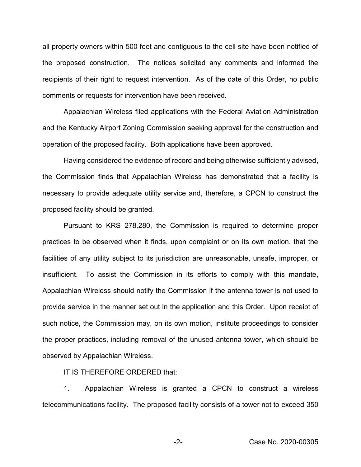all property owners within 500 feet and contiguous to the cell site have been notified of the proposed construction. The notices solicited any comments and informed the recipients of their right to request intervention. As of the date of this Order, no public comments or requests for intervention have been received.

Appalachian Wireless filed applications with the Federal Aviation Administration and the Kentucky Airport Zoning Commission seeking approval for the construction and operation of the proposed facility. Both applications have been approved.

Having considered the evidence of record and being otherwise sufficiently advised, the Commission finds that Appalachian Wireless has demonstrated that a facility is necessary to provide adequate utility service and, therefore, a CPCN to construct the proposed facility should be granted.

Pursuant to KRS 278.280, the Commission is required to determine proper practices to be observed when it finds, upon complaint or on its own motion, that the facilities of any utility subject to its jurisdiction are unreasonable, unsafe, improper, or insufficient. To assist the Commission in its efforts to comply with this mandate, Appalachian Wireless should notify the Commission if the antenna tower is not used to provide service in the manner set out in the application and this Order. Upon receipt of such notice, the Commission may, on its own motion, institute proceedings to consider the proper practices, including removal of the unused antenna tower, which should be observed by Appalachian Wireless.

IT IS THEREFORE ORDERED that:

1. Appalachian Wireless is granted a CPCN to construct a wireless telecommunications facility. The proposed facility consists of a tower not to exceed 350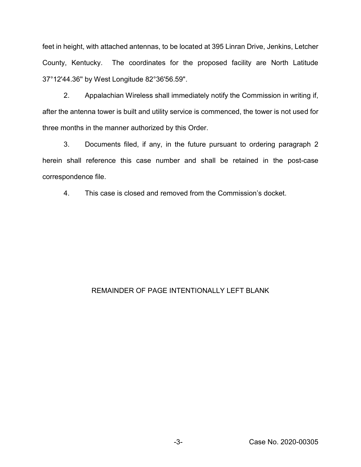feet in height, with attached antennas, to be located at 395 Linran Drive, Jenkins, Letcher County, Kentucky. The coordinates for the proposed facility are North Latitude 37°12'44.36'' by West Longitude 82°36'56.59".

2. Appalachian Wireless shall immediately notify the Commission in writing if, after the antenna tower is built and utility service is commenced, the tower is not used for three months in the manner authorized by this Order.

3. Documents filed, if any, in the future pursuant to ordering paragraph 2 herein shall reference this case number and shall be retained in the post-case correspondence file.

4. This case is closed and removed from the Commission's docket.

## REMAINDER OF PAGE INTENTIONALLY LEFT BLANK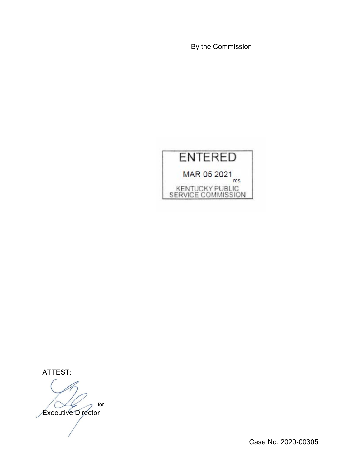By the Commission



ATTEST:

 $\bigwedge \bigvee \bigvee$  for

Executive Director

Case No. 2020-00305